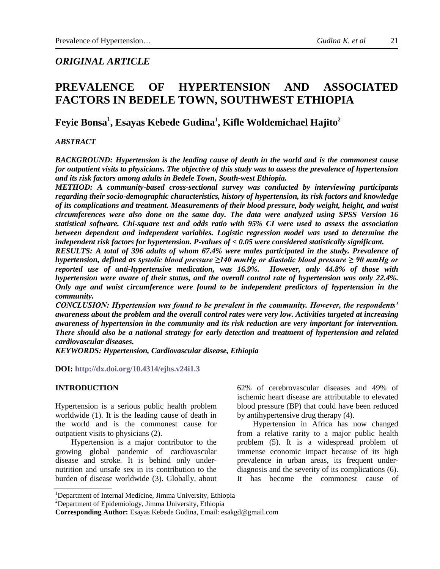# *ORIGINAL ARTICLE*

# **PREVALENCE OF HYPERTENSION AND ASSOCIATED FACTORS IN BEDELE TOWN, SOUTHWEST ETHIOPIA**

# **Feyie Bonsa<sup>1</sup> , Esayas Kebede Gudina<sup>1</sup> , Kifle Woldemichael Hajito<sup>2</sup>**

## *ABSTRACT*

*BACKGROUND: Hypertension is the leading cause of death in the world and is the commonest cause for outpatient visits to physicians. The objective of this study was to assess the prevalence of hypertension and its risk factors among adults in Bedele Town, South-west Ethiopia.*

*METHOD: A community-based cross-sectional survey was conducted by interviewing participants regarding their socio-demographic characteristics, history of hypertension, its risk factors and knowledge of its complications and treatment. Measurements of their blood pressure, body weight, height, and waist circumferences were also done on the same day. The data were analyzed using SPSS Version 16 statistical software. Chi-square test and odds ratio with 95% CI were used to assess the association between dependent and independent variables. Logistic regression model was used to determine the independent risk factors for hypertension. P-values of < 0.05 were considered statistically significant.* 

*RESULTS: A total of 396 adults of whom 67.4% were males participated in the study. Prevalence of hypertension, defined as systolic blood pressure ≥140 mmHg or diastolic blood pressure ≥ 90 mmHg or reported use of anti-hypertensive medication, was 16.9%. However, only 44.8% of those with hypertension were aware of their status, and the overall control rate of hypertension was only 22.4%. Only age and waist circumference were found to be independent predictors of hypertension in the community.* 

*CONCLUSION: Hypertension was found to be prevalent in the community. However, the respondents' awareness about the problem and the overall control rates were very low. Activities targeted at increasing awareness of hypertension in the community and its risk reduction are very important for intervention. There should also be a national strategy for early detection and treatment of hypertension and related cardiovascular diseases.*

*KEYWORDS: Hypertension, Cardiovascular disease, Ethiopia* 

#### **DOI: [http://dx.doi.org/10.4314/ejhs.v24i1.3](http://dx.doi.org/10.4314/ejhs.v24i1.2)**

## **INTRODUCTION**

Hypertension is a serious public health problem worldwide (1). It is the leading cause of death in the world and is the commonest cause for outpatient visits to physicians (2).

 Hypertension is a major contributor to the growing global pandemic of cardiovascular disease and stroke. It is behind only undernutrition and unsafe sex in its contribution to the burden of disease worldwide (3). Globally, about 62% of cerebrovascular diseases and 49% of ischemic heart disease are attributable to elevated blood pressure (BP) that could have been reduced by antihypertensive drug therapy (4).

 Hypertension in Africa has now changed from a relative rarity to a major public health problem (5). It is a widespread problem of immense economic impact because of its high prevalence in urban areas, its frequent underdiagnosis and the severity of its complications (6). It has become the commonest cause of

<sup>&</sup>lt;sup>1</sup>Department of Internal Medicine, Jimma University, Ethiopia

<sup>&</sup>lt;sup>2</sup>Department of Epidemiology, Jimma University, Ethiopia

**Corresponding Author:** Esayas Kebede Gudina, Email: [esakgd@gmail.com](mailto:esakgd@gmail.com)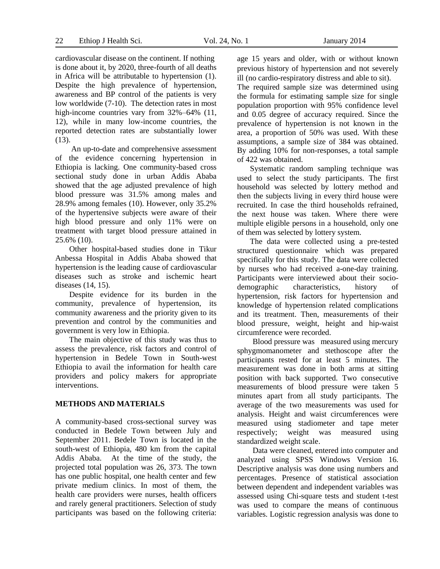cardiovascular disease on the continent. If nothing is done about it, by 2020, three-fourth of all deaths in Africa will be attributable to hypertension (1). Despite the high prevalence of hypertension, awareness and BP control of the patients is very low worldwide (7-10). The detection rates in most high-income countries vary from  $32\% - 64\%$  (11, 12), while in many low-income countries, the reported detection rates are substantially lower (13).

 An up-to-date and comprehensive assessment of the evidence concerning hypertension in Ethiopia is lacking. One community-based cross sectional study done in urban Addis Ababa showed that the age adjusted prevalence of high blood pressure was 31.5% among males and 28.9% among females (10). However, only 35.2% of the hypertensive subjects were aware of their high blood pressure and only 11% were on treatment with target blood pressure attained in 25.6% (10).

 Other hospital-based studies done in Tikur Anbessa Hospital in Addis Ababa showed that hypertension is the leading cause of cardiovascular diseases such as stroke and ischemic heart diseases (14, 15).

 Despite evidence for its burden in the community, prevalence of hypertension, its community awareness and the priority given to its prevention and control by the communities and government is very low in Ethiopia.

 The main objective of this study was thus to assess the prevalence, risk factors and control of hypertension in Bedele Town in South-west Ethiopia to avail the information for health care providers and policy makers for appropriate interventions.

## **METHODS AND MATERIALS**

A community-based cross-sectional survey was conducted in Bedele Town between July and September 2011. Bedele Town is located in the south-west of Ethiopia, 480 km from the capital Addis Ababa. At the time of the study, the projected total population was 26, 373. The town has one public hospital, one health center and few private medium clinics. In most of them, the health care providers were nurses, health officers and rarely general practitioners. Selection of study participants was based on the following criteria:

age 15 years and older, with or without known previous history of hypertension and not severely ill (no cardio-respiratory distress and able to sit).

The required sample size was determined using the formula for estimating sample size for single population proportion with 95% confidence level and 0.05 degree of accuracy required. Since the prevalence of hypertension is not known in the area, a proportion of 50% was used. With these assumptions, a sample size of 384 was obtained. By adding 10% for non-responses, a total sample of 422 was obtained.

Systematic random sampling technique was used to select the study participants. The first household was selected by lottery method and then the subjects living in every third house were recruited. In case the third households refrained, the next house was taken. Where there were multiple eligible persons in a household, only one of them was selected by lottery system.

The data were collected using a pre-tested structured questionnaire which was prepared specifically for this study. The data were collected by nurses who had received a-one-day training. Participants were interviewed about their sociodemographic characteristics, history of hypertension, risk factors for hypertension and knowledge of hypertension related complications and its treatment. Then, measurements of their blood pressure, weight, height and hip-waist circumference were recorded.

Blood pressure was measured using mercury sphygmomanometer and stethoscope after the participants rested for at least 5 minutes. The measurement was done in both arms at sitting position with back supported. Two consecutive measurements of blood pressure were taken 5 minutes apart from all study participants. The average of the two measurements was used for analysis. Height and waist circumferences were measured using stadiometer and tape meter respectively; weight was measured using standardized weight scale.

Data were cleaned, entered into computer and analyzed using SPSS Windows Version 16. Descriptive analysis was done using numbers and percentages. Presence of statistical association between dependent and independent variables was assessed using Chi-square tests and student t-test was used to compare the means of continuous variables. Logistic regression analysis was done to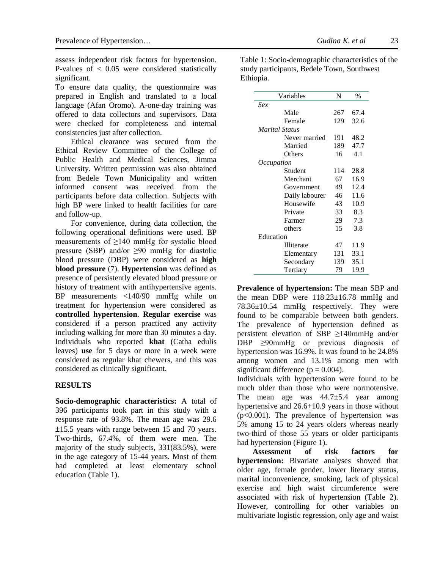assess independent risk factors for hypertension. P-values of  $< 0.05$  were considered statistically significant.

To ensure data quality, the questionnaire was prepared in English and translated to a local language (Afan Oromo). A-one-day training was offered to data collectors and supervisors. Data were checked for completeness and internal consistencies just after collection.

Ethical clearance was secured from the Ethical Review Committee of the College of Public Health and Medical Sciences, Jimma University. Written permission was also obtained from Bedele Town Municipality and written informed consent was received from the participants before data collection. Subjects with high BP were linked to health facilities for care and follow-up.

For convenience, during data collection, the following operational definitions were used. BP measurements of  $\geq$ 140 mmHg for systolic blood pressure (SBP) and/or  $\geq 90$  mmHg for diastolic blood pressure (DBP) were considered as **high blood pressure** (7). **Hypertension** was defined as presence of persistently elevated blood pressure or history of treatment with antihypertensive agents. BP measurements <140/90 mmHg while on treatment for hypertension were considered as **controlled hypertension**. **Regular exercise** was considered if a person practiced any activity including walking for more than 30 minutes a day. Individuals who reported **khat** (Catha edulis leaves) **use** for 5 days or more in a week were considered as regular khat chewers, and this was considered as clinically significant.

## **RESULTS**

**Socio-demographic characteristics:** A total of 396 participants took part in this study with a response rate of 93.8%. The mean age was 29.6  $\pm 15.5$  years with range between 15 and 70 years. Two-thirds, 67.4%, of them were men. The majority of the study subjects, 331(83.5%), were in the age category of 15-44 years. Most of them had completed at least elementary school education (Table 1).

Table 1: Socio-demographic characteristics of the study participants, Bedele Town, Southwest Ethiopia.

| Variables             | N   | $\frac{0}{0}$ |  |  |  |
|-----------------------|-----|---------------|--|--|--|
| Sex                   |     |               |  |  |  |
| Male                  | 267 | 67.4          |  |  |  |
| Female                | 129 | 32.6          |  |  |  |
| <b>Marital Status</b> |     |               |  |  |  |
| Never married         | 191 | 48.2          |  |  |  |
| Married               | 189 | 47.7          |  |  |  |
| Others                | 16  | 4.1           |  |  |  |
| Occupation            |     |               |  |  |  |
| Student               | 114 | 28.8          |  |  |  |
| Merchant              | 67  | 16.9          |  |  |  |
| Government            | 49  | 12.4          |  |  |  |
| Daily labourer        | 46  | 11.6          |  |  |  |
| Housewife             | 43  | 10.9          |  |  |  |
| Private               | 33  | 8.3           |  |  |  |
| Farmer                | 29  | 7.3           |  |  |  |
| others                | 15  | 3.8           |  |  |  |
| Education             |     |               |  |  |  |
| Illiterate            | 47  | 11.9          |  |  |  |
| Elementary            | 131 | 33.1          |  |  |  |
| Secondary             | 139 | 35.1          |  |  |  |
| Tertiary              | 79  | 19.9          |  |  |  |

**Prevalence of hypertension:** The mean SBP and the mean DBP were  $118.23 \pm 16.78$  mmHg and 78.36±10.54 mmHg respectively. They were found to be comparable between both genders. The prevalence of hypertension defined as persistent elevation of SBP ≥140mmHg and/or DBP ≥90mmHg or previous diagnosis of hypertension was 16.9%. It was found to be 24.8% among women and 13.1% among men with significant difference ( $p = 0.004$ ).

Individuals with hypertension were found to be much older than those who were normotensive. The mean age was  $44.7 \pm 5.4$  year among hypertensive and 26.6+10.9 years in those without (p<0.001). The prevalence of hypertension was 5% among 15 to 24 years olders whereas nearly two-third of those 55 years or older participants had hypertension (Figure 1).

**Assessment of risk factors for hypertension:** Bivariate analyses showed that older age, female gender, lower literacy status, marital inconvenience, smoking, lack of physical exercise and high waist circumference were associated with risk of hypertension (Table 2). However, controlling for other variables on multivariate logistic regression, only age and waist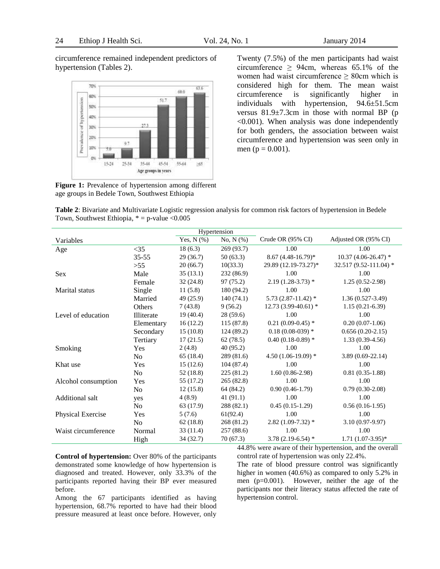circumference remained independent predictors of hypertension (Tables 2).



**Figure 1:** Prevalence of hypertension among different age groups in Bedele Town, Southwest Ethiopia

Twenty (7.5%) of the men participants had waist circumference  $\geq$  94cm, whereas 65.1% of the women had waist circumference  $\geq 80$ cm which is considered high for them. The mean waist circumference is significantly higher in individuals with hypertension, 94.6±51.5cm versus 81.9±7.3cm in those with normal BP (p <0.001). When analysis was done independently for both genders, the association between waist circumference and hypertension was seen only in men ( $p = 0.001$ ).

**Table 2**: Bivariate and Multivariate Logistic regression analysis for common risk factors of hypertension in Bedele Town, Southwest Ethiopia,  $* = p$ -value <0.005

| Hypertension        |                |                 |            |                       |                        |  |
|---------------------|----------------|-----------------|------------|-----------------------|------------------------|--|
| Variables           |                | Yes, $N$ $(\%)$ | No, N (%)  | Crude OR (95% CI)     | Adjusted OR (95% CI)   |  |
| Age                 | $<$ 35         | 18(6.3)         | 269 (93.7) | 1.00                  | 1.00                   |  |
|                     | $35 - 55$      | 29 (36.7)       | 50(63.3)   | $8.67(4.48-16.79)$ *  | $10.37(4.06-26.47)$ *  |  |
|                     | $>55$          | 20(66.7)        | 10(33.3)   | 29.89 (12.19-73.27)*  | 32.517 (9.52-111.04) * |  |
| Sex                 | Male           | 35(13.1)        | 232 (86.9) | 1.00                  | 1.00                   |  |
|                     | Female         | 32(24.8)        | 97(75.2)   | $2.19(1.28-3.73)*$    | $1.25(0.52-2.98)$      |  |
| Marital status      | Single         | 11(5.8)         | 180 (94.2) | 1.00                  | 1.00                   |  |
|                     | Married        | 49 (25.9)       | 140(74.1)  | $5.73(2.87-11.42)$ *  | $1.36(0.527 - 3.49)$   |  |
|                     | Others         | 7(43.8)         | 9(56.2)    | 12.73 (3.99-40.61) *  | $1.15(0.21-6.39)$      |  |
| Level of education  | Illiterate     | 19(40.4)        | 28(59.6)   | 1.00                  | 1.00                   |  |
|                     | Elementary     | 16(12.2)        | 115(87.8)  | $0.21(0.09-0.45)$ *   | $0.20(0.07-1.06)$      |  |
|                     | Secondary      | 15(10.8)        | 124 (89.2) | $0.18(0.08-039)*$     | $0.656(0.20-2.15)$     |  |
|                     | Tertiary       | 17(21.5)        | 62(78.5)   | $0.40(0.18-0.89)$ *   | $1.33(0.39-4.56)$      |  |
| Smoking             | Yes            | 2(4.8)          | 40(95.2)   | 1.00                  | 1.00                   |  |
|                     | N <sub>o</sub> | 65 (18.4)       | 289 (81.6) | 4.50 $(1.06-19.09)$ * | $3.89(0.69-22.14)$     |  |
| Khat use            | Yes            | 15(12.6)        | 104(87.4)  | 1.00                  | 1.00                   |  |
|                     | N <sub>o</sub> | 52 (18.8)       | 225(81.2)  | $1.60(0.86-2.98)$     | $0.81(0.35-1.88)$      |  |
| Alcohol consumption | Yes            | 55 (17.2)       | 265(82.8)  | 1.00                  | 1.00                   |  |
|                     | N <sub>o</sub> | 12(15.8)        | 64 (84.2)  | $0.90(0.46-1.79)$     | $0.79(0.30-2.08)$      |  |
| Additional salt     | yes            | 4(8.9)          | 41(91.1)   | 1.00                  | 1.00                   |  |
|                     | No.            | 63 (17.9)       | 288 (82.1) | $0.45(0.15-1.29)$     | $0.56(0.16-1.95)$      |  |
| Physical Exercise   | Yes            | 5(7.6)          | 61(92.4)   | 1.00                  | 1.00                   |  |
|                     | N <sub>o</sub> | 62(18.8)        | 268 (81.2) | $2.82(1.09-7.32)$ *   | $3.10(0.97-9.97)$      |  |
| Waist circumference | Normal         | 33 (11.4)       | 257(88.6)  | 1.00                  | 1.00                   |  |
|                     | High           | 34 (32.7)       | 70 (67.3)  | $3.78(2.19-6.54)$ *   | $1.71(1.07-3.95)*$     |  |

**Control of hypertension:** Over 80% of the participants demonstrated some knowledge of how hypertension is diagnosed and treated. However, only 33.3% of the participants reported having their BP ever measured before.

Among the 67 participants identified as having hypertension, 68.7% reported to have had their blood pressure measured at least once before. However, only

44.8% were aware of their hypertension, and the overall control rate of hypertension was only 22.4%.

The rate of blood pressure control was significantly higher in women (40.6%) as compared to only 5.2% in men (p=0.001). However, neither the age of the participants nor their literacy status affected the rate of hypertension control.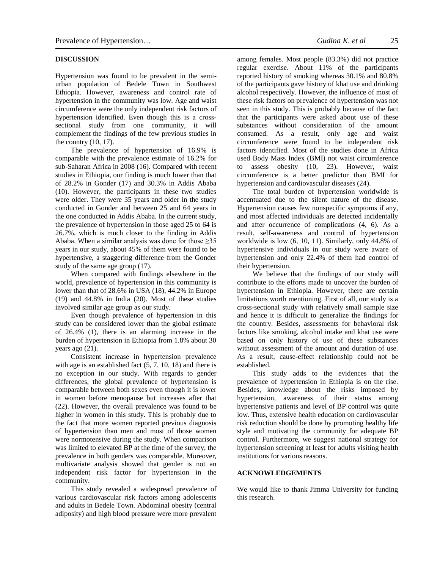### **DISCUSSION**

Hypertension was found to be prevalent in the semiurban population of Bedele Town in Southwest Ethiopia. However, awareness and control rate of hypertension in the community was low. Age and waist circumference were the only independent risk factors of hypertension identified. Even though this is a crosssectional study from one community, it will complement the findings of the few previous studies in the country  $(10, 17)$ .

The prevalence of hypertension of 16.9% is comparable with the prevalence estimate of 16.2% for sub-Saharan Africa in 2008 (16). Compared with recent studies in Ethiopia, our finding is much lower than that of 28.2% in Gonder (17) and 30.3% in Addis Ababa (10). However, the participants in these two studies were older. They were 35 years and older in the study conducted in Gonder and between 25 and 64 years in the one conducted in Addis Ababa. In the current study, the prevalence of hypertension in those aged 25 to 64 is 26.7%, which is much closer to the finding in Addis Ababa. When a similar analysis was done for those  $\geq 35$ years in our study, about 45% of them were found to be hypertensive, a staggering difference from the Gonder study of the same age group (17).

When compared with findings elsewhere in the world, prevalence of hypertension in this community is lower than that of 28.6% in USA (18), 44.2% in Europe (19) and 44.8% in India (20). Most of these studies involved similar age group as our study.

Even though prevalence of hypertension in this study can be considered lower than the global estimate of 26.4% (1), there is an alarming increase in the burden of hypertension in Ethiopia from 1.8% about 30 years ago (21).

Consistent increase in hypertension prevalence with age is an established fact  $(5, 7, 10, 18)$  and there is no exception in our study. With regards to gender differences, the global prevalence of hypertension is comparable between both sexes even though it is lower in women before menopause but increases after that (22). However, the overall prevalence was found to be higher in women in this study. This is probably due to the fact that more women reported previous diagnosis of hypertension than men and most of those women were normotensive during the study. When comparison was limited to elevated BP at the time of the survey, the prevalence in both genders was comparable. Moreover, multivariate analysis showed that gender is not an independent risk factor for hypertension in the community.

This study revealed a widespread prevalence of various cardiovascular risk factors among adolescents and adults in Bedele Town. Abdominal obesity (central adiposity) and high blood pressure were more prevalent

among females. Most people (83.3%) did not practice regular exercise. About 11% of the participants reported history of smoking whereas 30.1% and 80.8% of the participants gave history of khat use and drinking alcohol respectively. However, the influence of most of these risk factors on prevalence of hypertension was not seen in this study. This is probably because of the fact that the participants were asked about use of these substances without consideration of the amount consumed. As a result, only age and waist circumference were found to be independent risk factors identified. Most of the studies done in Africa used Body Mass Index (BMI) not waist circumference to assess obesity (10, 23). However, waist circumference is a better predictor than BMI for hypertension and cardiovascular diseases (24).

The total burden of hypertension worldwide is accentuated due to the silent nature of the disease. Hypertension causes few nonspecific symptoms if any, and most affected individuals are detected incidentally and after occurrence of complications (4, 6). As a result, self-awareness and control of hypertension worldwide is low (6, 10, 11). Similarly, only 44.8% of hypertensive individuals in our study were aware of hypertension and only 22.4% of them had control of their hypertension.

We believe that the findings of our study will contribute to the efforts made to uncover the burden of hypertension in Ethiopia. However, there are certain limitations worth mentioning. First of all, our study is a cross-sectional study with relatively small sample size and hence it is difficult to generalize the findings for the country. Besides, assessments for behavioral risk factors like smoking, alcohol intake and khat use were based on only history of use of these substances without assessment of the amount and duration of use. As a result, cause-effect relationship could not be established.

This study adds to the evidences that the prevalence of hypertension in Ethiopia is on the rise. Besides, knowledge about the risks imposed by hypertension, awareness of their status among hypertensive patients and level of BP control was quite low. Thus, extensive health education on cardiovascular risk reduction should be done by promoting healthy life style and motivating the community for adequate BP control. Furthermore, we suggest national strategy for hypertension screening at least for adults visiting health institutions for various reasons.

#### **ACKNOWLEDGEMENTS**

We would like to thank Jimma University for funding this research.